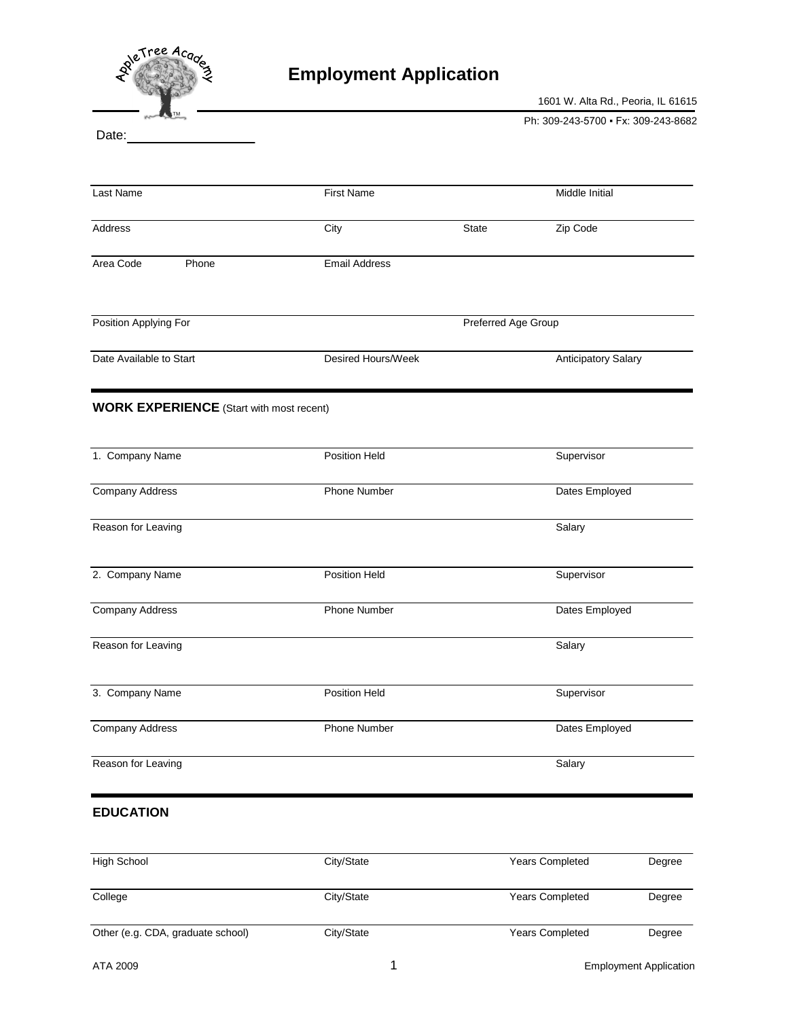

## **Employment Application**

1601 W. Alta Rd., Peoria, IL 61615

Ph: 309-243-5700 · Fx: 309-243-8682

Date:

| Last Name                                       | <b>First Name</b>    |                     | Middle Initial      |
|-------------------------------------------------|----------------------|---------------------|---------------------|
| Address                                         | City                 | State               | Zip Code            |
| Area Code<br>Phone                              | <b>Email Address</b> |                     |                     |
| Position Applying For                           |                      | Preferred Age Group |                     |
| Date Available to Start                         | Desired Hours/Week   |                     | Anticipatory Salary |
| <b>WORK EXPERIENCE</b> (Start with most recent) |                      |                     |                     |
| 1. Company Name                                 | Position Held        |                     | Supervisor          |
| Company Address                                 | Phone Number         |                     | Dates Employed      |
| Reason for Leaving                              |                      |                     | Salary              |
| 2. Company Name                                 | Position Held        |                     | Supervisor          |
| <b>Company Address</b>                          | Phone Number         |                     | Dates Employed      |
| Reason for Leaving                              |                      |                     | Salary              |
| 3. Company Name                                 | Position Held        |                     | Supervisor          |
| <b>Company Address</b>                          | Phone Number         |                     | Dates Employed      |
| Reason for Leaving                              |                      |                     | Salary              |

## **EDUCATION**

| High School                       | City/State | <b>Years Completed</b> | Degree |
|-----------------------------------|------------|------------------------|--------|
| College                           | City/State | <b>Years Completed</b> | Degree |
| Other (e.g. CDA, graduate school) | City/State | <b>Years Completed</b> | Degree |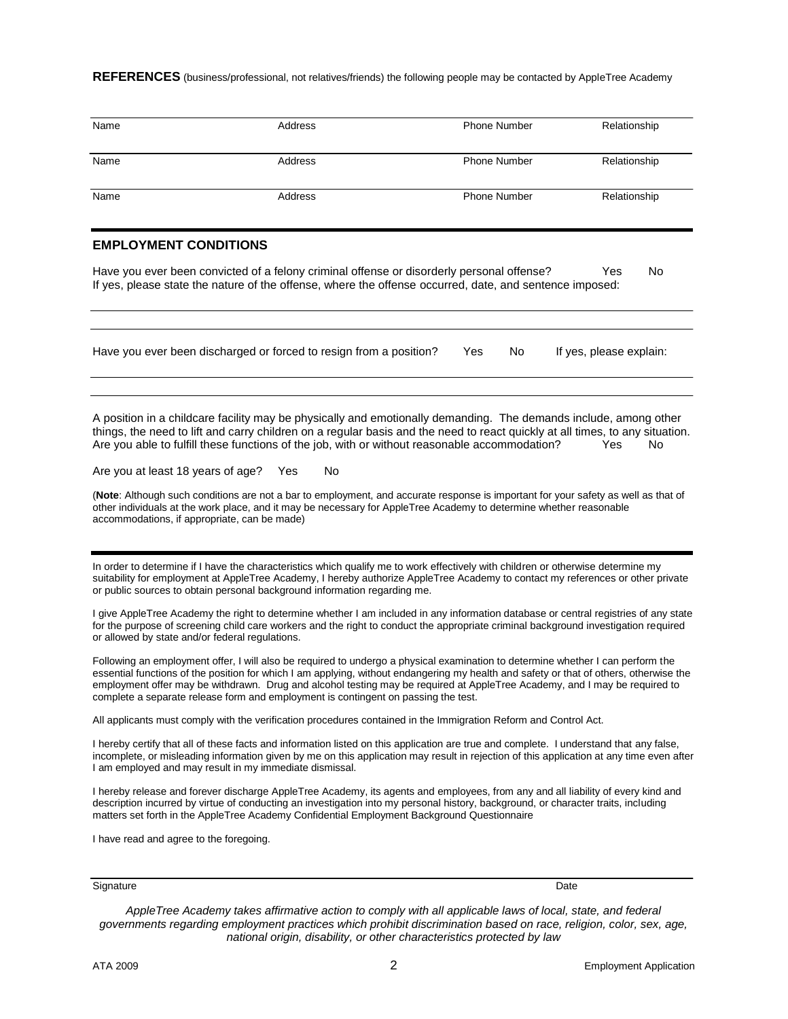**REFERENCES** (business/professional, not relatives/friends) the following people may be contacted by AppleTree Academy

| Name                                                                                                                                                                                                                                                                                                                                                                                                                                                                                                                                                                                                                                                                                                                         | Address                                                                                                                                                                                                                                                                                                                                                               | <b>Phone Number</b> | Relationship            |  |  |
|------------------------------------------------------------------------------------------------------------------------------------------------------------------------------------------------------------------------------------------------------------------------------------------------------------------------------------------------------------------------------------------------------------------------------------------------------------------------------------------------------------------------------------------------------------------------------------------------------------------------------------------------------------------------------------------------------------------------------|-----------------------------------------------------------------------------------------------------------------------------------------------------------------------------------------------------------------------------------------------------------------------------------------------------------------------------------------------------------------------|---------------------|-------------------------|--|--|
| Name                                                                                                                                                                                                                                                                                                                                                                                                                                                                                                                                                                                                                                                                                                                         | Address                                                                                                                                                                                                                                                                                                                                                               | <b>Phone Number</b> | Relationship            |  |  |
| Name                                                                                                                                                                                                                                                                                                                                                                                                                                                                                                                                                                                                                                                                                                                         | Address                                                                                                                                                                                                                                                                                                                                                               | <b>Phone Number</b> | Relationship            |  |  |
| <b>EMPLOYMENT CONDITIONS</b>                                                                                                                                                                                                                                                                                                                                                                                                                                                                                                                                                                                                                                                                                                 |                                                                                                                                                                                                                                                                                                                                                                       |                     |                         |  |  |
|                                                                                                                                                                                                                                                                                                                                                                                                                                                                                                                                                                                                                                                                                                                              | Have you ever been convicted of a felony criminal offense or disorderly personal offense?<br>If yes, please state the nature of the offense, where the offense occurred, date, and sentence imposed:                                                                                                                                                                  |                     | Yes<br>No               |  |  |
|                                                                                                                                                                                                                                                                                                                                                                                                                                                                                                                                                                                                                                                                                                                              | Have you ever been discharged or forced to resign from a position?                                                                                                                                                                                                                                                                                                    | No.<br>Yes          | If yes, please explain: |  |  |
| A position in a childcare facility may be physically and emotionally demanding. The demands include, among other<br>things, the need to lift and carry children on a regular basis and the need to react quickly at all times, to any situation.<br>Are you able to fulfill these functions of the job, with or without reasonable accommodation?<br>No<br>Yes<br>Are you at least 18 years of age?<br>Yes<br>No<br>(Note: Although such conditions are not a bar to employment, and accurate response is important for your safety as well as that of<br>other individuals at the work place, and it may be necessary for AppleTree Academy to determine whether reasonable<br>accommodations, if appropriate, can be made) |                                                                                                                                                                                                                                                                                                                                                                       |                     |                         |  |  |
|                                                                                                                                                                                                                                                                                                                                                                                                                                                                                                                                                                                                                                                                                                                              | In order to determine if I have the characteristics which qualify me to work effectively with children or otherwise determine my<br>suitability for employment at AppleTree Academy, I hereby authorize AppleTree Academy to contact my references or other private<br>or public sources to obtain personal background information regarding me.                      |                     |                         |  |  |
| I give AppleTree Academy the right to determine whether I am included in any information database or central registries of any state<br>for the purpose of screening child care workers and the right to conduct the appropriate criminal background investigation required<br>or allowed by state and/or federal regulations.                                                                                                                                                                                                                                                                                                                                                                                               |                                                                                                                                                                                                                                                                                                                                                                       |                     |                         |  |  |
| Following an employment offer, I will also be required to undergo a physical examination to determine whether I can perform the<br>essential functions of the position for which I am applying, without endangering my health and safety or that of others, otherwise the<br>employment offer may be withdrawn. Drug and alcohol testing may be required at AppleTree Academy, and I may be required to<br>complete a separate release form and employment is contingent on passing the test.                                                                                                                                                                                                                                |                                                                                                                                                                                                                                                                                                                                                                       |                     |                         |  |  |
| All applicants must comply with the verification procedures contained in the Immigration Reform and Control Act.                                                                                                                                                                                                                                                                                                                                                                                                                                                                                                                                                                                                             |                                                                                                                                                                                                                                                                                                                                                                       |                     |                         |  |  |
| I hereby certify that all of these facts and information listed on this application are true and complete. I understand that any false,<br>incomplete, or misleading information given by me on this application may result in rejection of this application at any time even after<br>I am employed and may result in my immediate dismissal.                                                                                                                                                                                                                                                                                                                                                                               |                                                                                                                                                                                                                                                                                                                                                                       |                     |                         |  |  |
|                                                                                                                                                                                                                                                                                                                                                                                                                                                                                                                                                                                                                                                                                                                              | I hereby release and forever discharge AppleTree Academy, its agents and employees, from any and all liability of every kind and<br>description incurred by virtue of conducting an investigation into my personal history, background, or character traits, including<br>matters set forth in the AppleTree Academy Confidential Employment Background Questionnaire |                     |                         |  |  |
| I have read and agree to the foregoing.                                                                                                                                                                                                                                                                                                                                                                                                                                                                                                                                                                                                                                                                                      |                                                                                                                                                                                                                                                                                                                                                                       |                     |                         |  |  |

Signature Date **Date of the Contract of Contract Contract of Contract Contract Contract Only and Date Only and D** 

*AppleTree Academy takes affirmative action to comply with all applicable laws of local, state, and federal governments regarding employment practices which prohibit discrimination based on race, religion, color, sex, age, national origin, disability, or other characteristics protected by law*